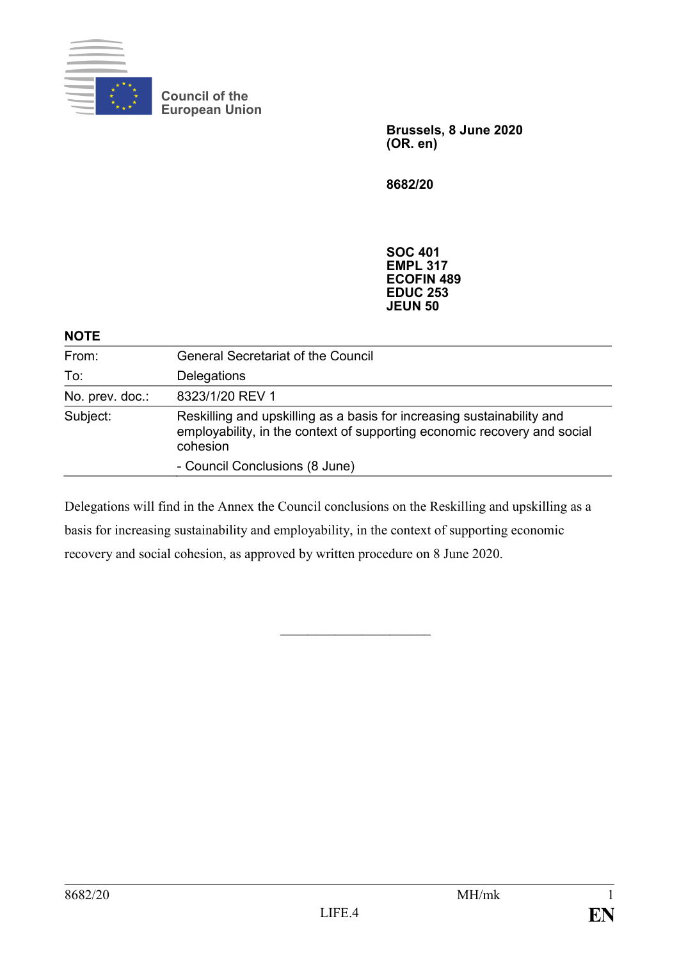

**Council of the European Union**

> **Brussels, 8 June 2020 (OR. en)**

**8682/20**

**SOC 401 EMPL 317 ECOFIN 489 EDUC 253 JEUN 50**

#### **NOTE**

| From:           | <b>General Secretariat of the Council</b>                                                                                                                      |
|-----------------|----------------------------------------------------------------------------------------------------------------------------------------------------------------|
| To:             | Delegations                                                                                                                                                    |
| No. prev. doc.: | 8323/1/20 REV 1                                                                                                                                                |
| Subject:        | Reskilling and upskilling as a basis for increasing sustainability and<br>employability, in the context of supporting economic recovery and social<br>cohesion |
|                 | - Council Conclusions (8 June)                                                                                                                                 |

Delegations will find in the Annex the Council conclusions on the Reskilling and upskilling as a basis for increasing sustainability and employability, in the context of supporting economic recovery and social cohesion, as approved by written procedure on 8 June 2020.

 $\overline{\phantom{a}}$  , where  $\overline{\phantom{a}}$  , where  $\overline{\phantom{a}}$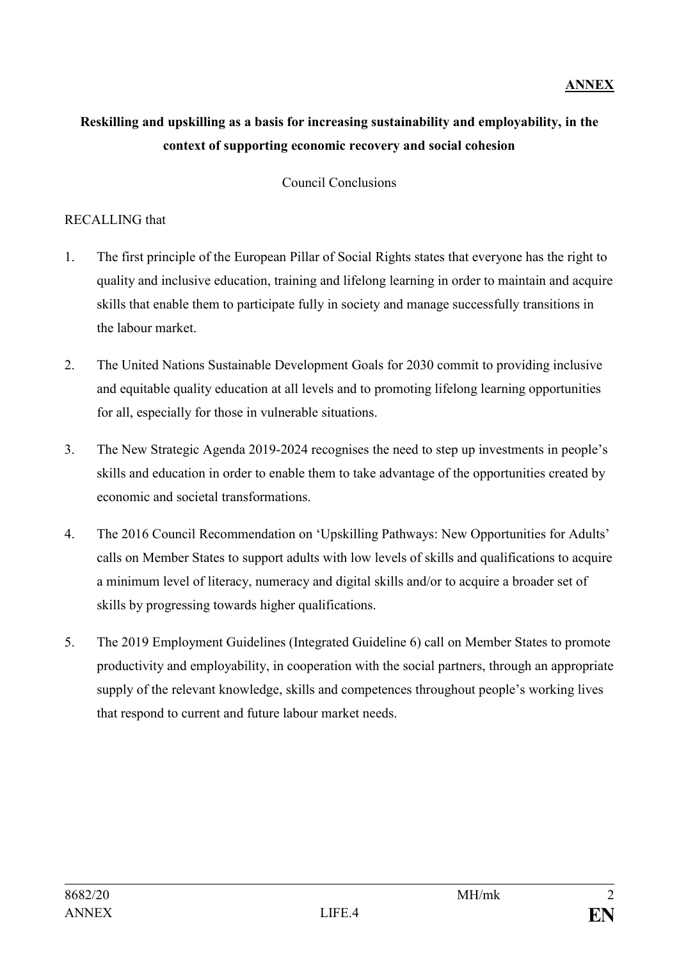# **ANNEX**

# **Reskilling and upskilling as a basis for increasing sustainability and employability, in the context of supporting economic recovery and social cohesion**

Council Conclusions

#### RECALLING that

- 1. The first principle of the European Pillar of Social Rights states that everyone has the right to quality and inclusive education, training and lifelong learning in order to maintain and acquire skills that enable them to participate fully in society and manage successfully transitions in the labour market.
- 2. The United Nations Sustainable Development Goals for 2030 commit to providing inclusive and equitable quality education at all levels and to promoting lifelong learning opportunities for all, especially for those in vulnerable situations.
- 3. The New Strategic Agenda 2019-2024 recognises the need to step up investments in people's skills and education in order to enable them to take advantage of the opportunities created by economic and societal transformations.
- 4. The 2016 Council Recommendation on 'Upskilling Pathways: New Opportunities for Adults' calls on Member States to support adults with low levels of skills and qualifications to acquire a minimum level of literacy, numeracy and digital skills and/or to acquire a broader set of skills by progressing towards higher qualifications.
- 5. The 2019 Employment Guidelines (Integrated Guideline 6) call on Member States to promote productivity and employability, in cooperation with the social partners, through an appropriate supply of the relevant knowledge, skills and competences throughout people's working lives that respond to current and future labour market needs.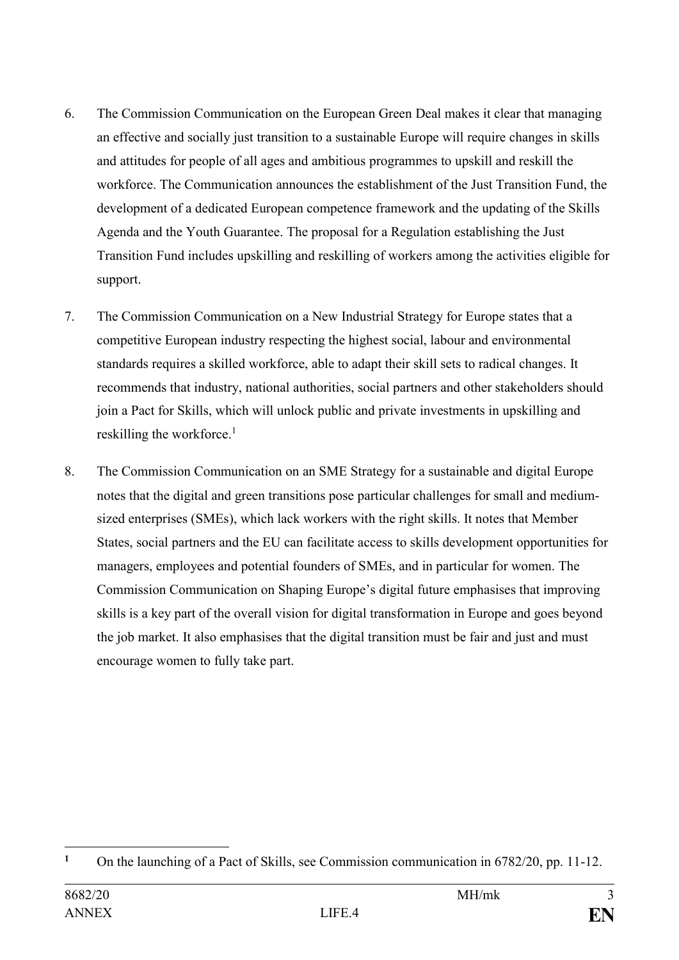- 6. The Commission Communication on the European Green Deal makes it clear that managing an effective and socially just transition to a sustainable Europe will require changes in skills and attitudes for people of all ages and ambitious programmes to upskill and reskill the workforce. The Communication announces the establishment of the Just Transition Fund, the development of a dedicated European competence framework and the updating of the Skills Agenda and the Youth Guarantee. The proposal for a Regulation establishing the Just Transition Fund includes upskilling and reskilling of workers among the activities eligible for support.
- 7. The Commission Communication on a New Industrial Strategy for Europe states that a competitive European industry respecting the highest social, labour and environmental standards requires a skilled workforce, able to adapt their skill sets to radical changes. It recommends that industry, national authorities, social partners and other stakeholders should join a Pact for Skills, which will unlock public and private investments in upskilling and reskilling the workforce. $<sup>1</sup>$ </sup>
- 8. The Commission Communication on an SME Strategy for a sustainable and digital Europe notes that the digital and green transitions pose particular challenges for small and mediumsized enterprises (SMEs), which lack workers with the right skills. It notes that Member States, social partners and the EU can facilitate access to skills development opportunities for managers, employees and potential founders of SMEs, and in particular for women. The Commission Communication on Shaping Europe's digital future emphasises that improving skills is a key part of the overall vision for digital transformation in Europe and goes beyond the job market. It also emphasises that the digital transition must be fair and just and must encourage women to fully take part.

<sup>1</sup> <sup>1</sup> On the launching of a Pact of Skills, see Commission communication in 6782/20, pp. 11-12.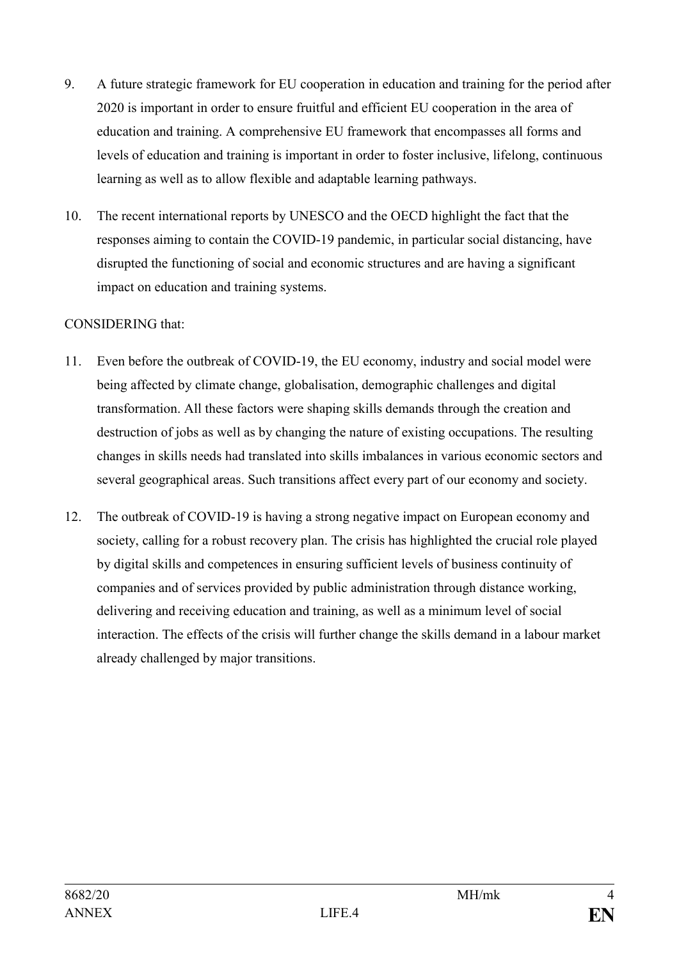- 9. A future strategic framework for EU cooperation in education and training for the period after 2020 is important in order to ensure fruitful and efficient EU cooperation in the area of education and training. A comprehensive EU framework that encompasses all forms and levels of education and training is important in order to foster inclusive, lifelong, continuous learning as well as to allow flexible and adaptable learning pathways.
- 10. The recent international reports by UNESCO and the OECD highlight the fact that the responses aiming to contain the COVID-19 pandemic, in particular social distancing, have disrupted the functioning of social and economic structures and are having a significant impact on education and training systems.

#### CONSIDERING that:

- 11. Even before the outbreak of COVID-19, the EU economy, industry and social model were being affected by climate change, globalisation, demographic challenges and digital transformation. All these factors were shaping skills demands through the creation and destruction of jobs as well as by changing the nature of existing occupations. The resulting changes in skills needs had translated into skills imbalances in various economic sectors and several geographical areas. Such transitions affect every part of our economy and society.
- 12. The outbreak of COVID-19 is having a strong negative impact on European economy and society, calling for a robust recovery plan. The crisis has highlighted the crucial role played by digital skills and competences in ensuring sufficient levels of business continuity of companies and of services provided by public administration through distance working, delivering and receiving education and training, as well as a minimum level of social interaction. The effects of the crisis will further change the skills demand in a labour market already challenged by major transitions.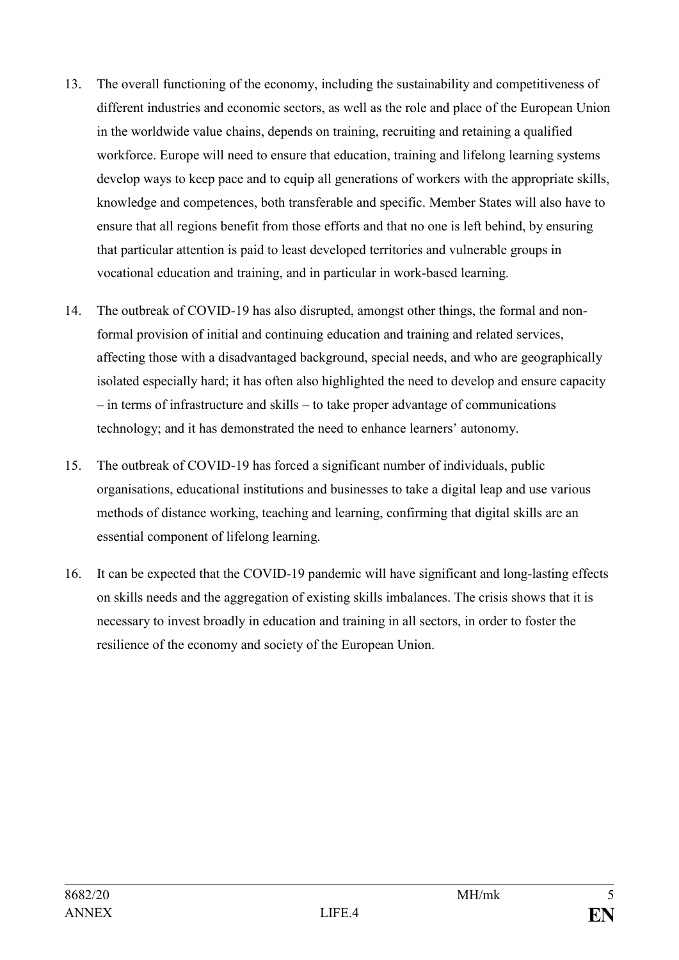- 13. The overall functioning of the economy, including the sustainability and competitiveness of different industries and economic sectors, as well as the role and place of the European Union in the worldwide value chains, depends on training, recruiting and retaining a qualified workforce. Europe will need to ensure that education, training and lifelong learning systems develop ways to keep pace and to equip all generations of workers with the appropriate skills, knowledge and competences, both transferable and specific. Member States will also have to ensure that all regions benefit from those efforts and that no one is left behind, by ensuring that particular attention is paid to least developed territories and vulnerable groups in vocational education and training, and in particular in work-based learning.
- 14. The outbreak of COVID-19 has also disrupted, amongst other things, the formal and nonformal provision of initial and continuing education and training and related services, affecting those with a disadvantaged background, special needs, and who are geographically isolated especially hard; it has often also highlighted the need to develop and ensure capacity – in terms of infrastructure and skills – to take proper advantage of communications technology; and it has demonstrated the need to enhance learners' autonomy.
- 15. The outbreak of COVID-19 has forced a significant number of individuals, public organisations, educational institutions and businesses to take a digital leap and use various methods of distance working, teaching and learning, confirming that digital skills are an essential component of lifelong learning.
- 16. It can be expected that the COVID-19 pandemic will have significant and long-lasting effects on skills needs and the aggregation of existing skills imbalances. The crisis shows that it is necessary to invest broadly in education and training in all sectors, in order to foster the resilience of the economy and society of the European Union.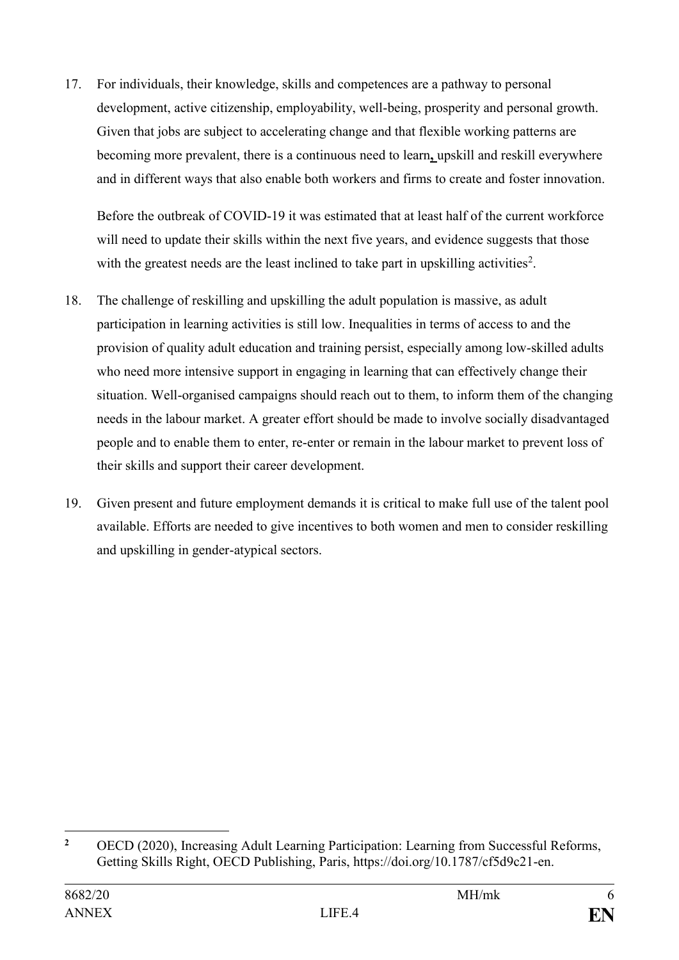17. For individuals, their knowledge, skills and competences are a pathway to personal development, active citizenship, employability, well-being, prosperity and personal growth. Given that jobs are subject to accelerating change and that flexible working patterns are becoming more prevalent, there is a continuous need to learn**,** upskill and reskill everywhere and in different ways that also enable both workers and firms to create and foster innovation.

Before the outbreak of COVID-19 it was estimated that at least half of the current workforce will need to update their skills within the next five years, and evidence suggests that those with the greatest needs are the least inclined to take part in upskilling activities<sup>2</sup>.

- 18. The challenge of reskilling and upskilling the adult population is massive, as adult participation in learning activities is still low. Inequalities in terms of access to and the provision of quality adult education and training persist, especially among low-skilled adults who need more intensive support in engaging in learning that can effectively change their situation. Well-organised campaigns should reach out to them, to inform them of the changing needs in the labour market. A greater effort should be made to involve socially disadvantaged people and to enable them to enter, re-enter or remain in the labour market to prevent loss of their skills and support their career development.
- 19. Given present and future employment demands it is critical to make full use of the talent pool available. Efforts are needed to give incentives to both women and men to consider reskilling and upskilling in gender-atypical sectors.

 $\overline{2}$ **<sup>2</sup>** OECD (2020), Increasing Adult Learning Participation: Learning from Successful Reforms, Getting Skills Right, OECD Publishing, Paris, https://doi.org/10.1787/cf5d9c21-en.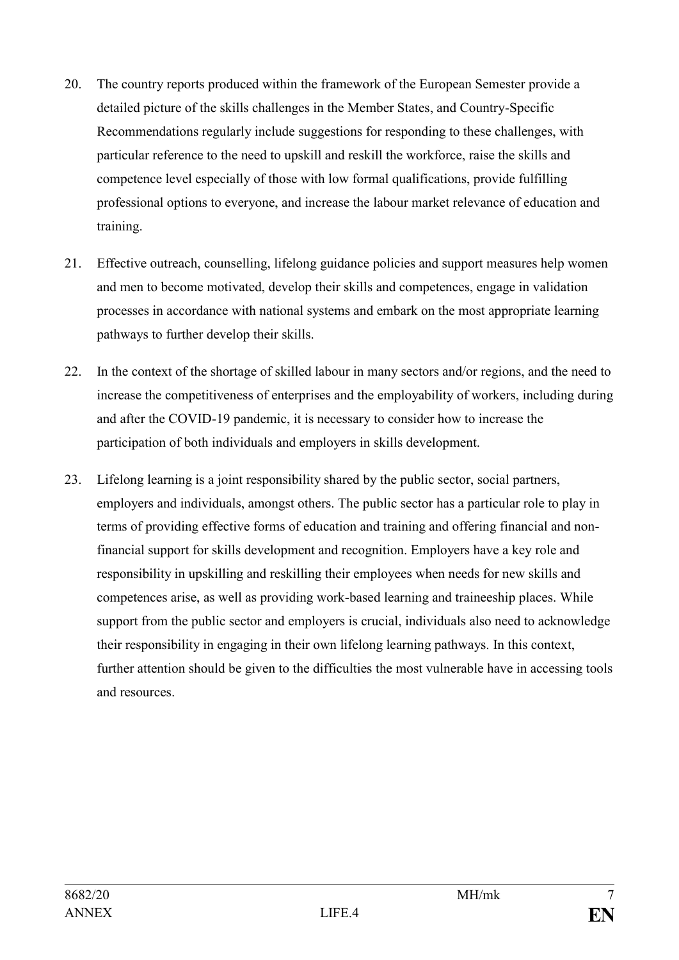- 20. The country reports produced within the framework of the European Semester provide a detailed picture of the skills challenges in the Member States, and Country-Specific Recommendations regularly include suggestions for responding to these challenges, with particular reference to the need to upskill and reskill the workforce, raise the skills and competence level especially of those with low formal qualifications, provide fulfilling professional options to everyone, and increase the labour market relevance of education and training.
- 21. Effective outreach, counselling, lifelong guidance policies and support measures help women and men to become motivated, develop their skills and competences, engage in validation processes in accordance with national systems and embark on the most appropriate learning pathways to further develop their skills.
- 22. In the context of the shortage of skilled labour in many sectors and/or regions, and the need to increase the competitiveness of enterprises and the employability of workers, including during and after the COVID-19 pandemic, it is necessary to consider how to increase the participation of both individuals and employers in skills development.
- 23. Lifelong learning is a joint responsibility shared by the public sector, social partners, employers and individuals, amongst others. The public sector has a particular role to play in terms of providing effective forms of education and training and offering financial and nonfinancial support for skills development and recognition. Employers have a key role and responsibility in upskilling and reskilling their employees when needs for new skills and competences arise, as well as providing work-based learning and traineeship places. While support from the public sector and employers is crucial, individuals also need to acknowledge their responsibility in engaging in their own lifelong learning pathways. In this context, further attention should be given to the difficulties the most vulnerable have in accessing tools and resources.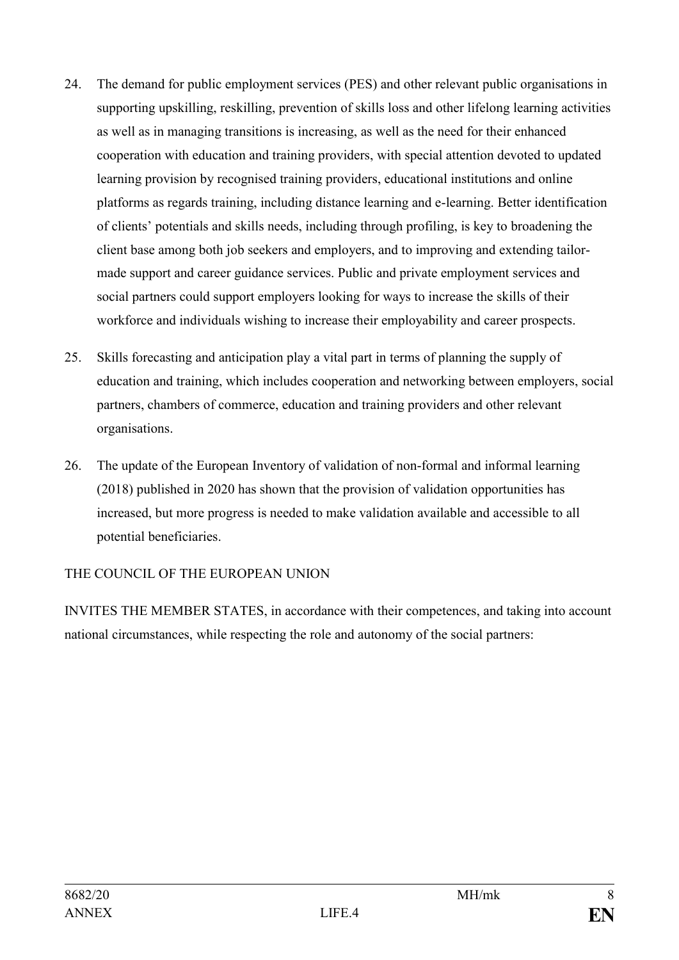- 24. The demand for public employment services (PES) and other relevant public organisations in supporting upskilling, reskilling, prevention of skills loss and other lifelong learning activities as well as in managing transitions is increasing, as well as the need for their enhanced cooperation with education and training providers, with special attention devoted to updated learning provision by recognised training providers, educational institutions and online platforms as regards training, including distance learning and e-learning. Better identification of clients' potentials and skills needs, including through profiling, is key to broadening the client base among both job seekers and employers, and to improving and extending tailormade support and career guidance services. Public and private employment services and social partners could support employers looking for ways to increase the skills of their workforce and individuals wishing to increase their employability and career prospects.
- 25. Skills forecasting and anticipation play a vital part in terms of planning the supply of education and training, which includes cooperation and networking between employers, social partners, chambers of commerce, education and training providers and other relevant organisations.
- 26. The update of the European Inventory of validation of non-formal and informal learning (2018) published in 2020 has shown that the provision of validation opportunities has increased, but more progress is needed to make validation available and accessible to all potential beneficiaries.

# THE COUNCIL OF THE EUROPEAN UNION

INVITES THE MEMBER STATES, in accordance with their competences, and taking into account national circumstances, while respecting the role and autonomy of the social partners: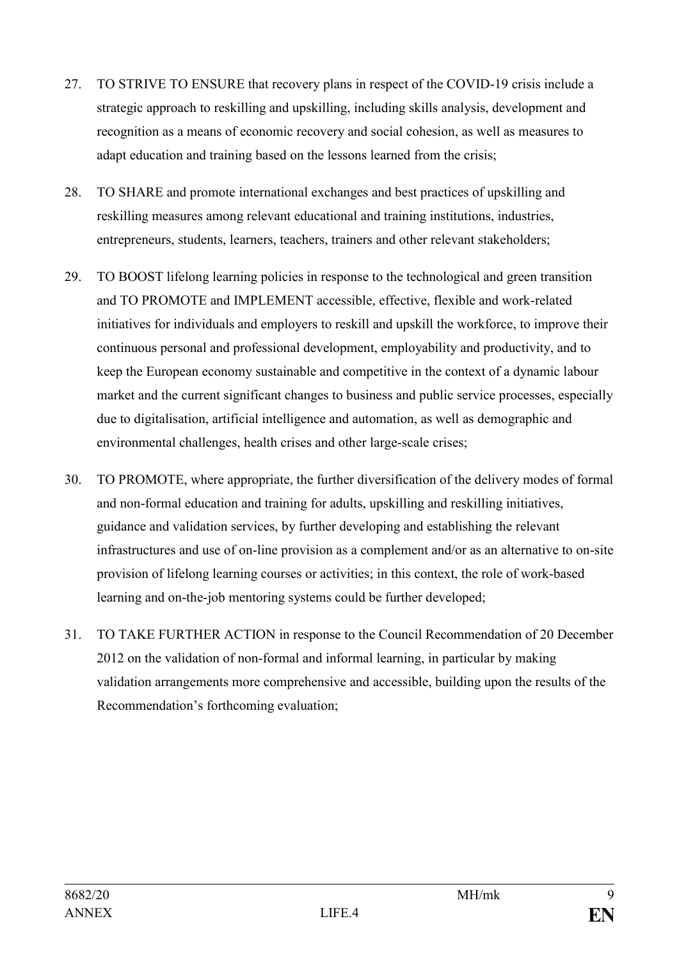- 27. TO STRIVE TO ENSURE that recovery plans in respect of the COVID-19 crisis include a strategic approach to reskilling and upskilling, including skills analysis, development and recognition as a means of economic recovery and social cohesion, as well as measures to adapt education and training based on the lessons learned from the crisis;
- 28. TO SHARE and promote international exchanges and best practices of upskilling and reskilling measures among relevant educational and training institutions, industries, entrepreneurs, students, learners, teachers, trainers and other relevant stakeholders;
- 29. TO BOOST lifelong learning policies in response to the technological and green transition and TO PROMOTE and IMPLEMENT accessible, effective, flexible and work-related initiatives for individuals and employers to reskill and upskill the workforce, to improve their continuous personal and professional development, employability and productivity, and to keep the European economy sustainable and competitive in the context of a dynamic labour market and the current significant changes to business and public service processes, especially due to digitalisation, artificial intelligence and automation, as well as demographic and environmental challenges, health crises and other large-scale crises;
- 30. TO PROMOTE, where appropriate, the further diversification of the delivery modes of formal and non-formal education and training for adults, upskilling and reskilling initiatives, guidance and validation services, by further developing and establishing the relevant infrastructures and use of on-line provision as a complement and/or as an alternative to on-site provision of lifelong learning courses or activities; in this context, the role of work-based learning and on-the-job mentoring systems could be further developed;
- 31. TO TAKE FURTHER ACTION in response to the Council Recommendation of 20 December 2012 on the validation of non-formal and informal learning, in particular by making validation arrangements more comprehensive and accessible, building upon the results of the Recommendation's forthcoming evaluation;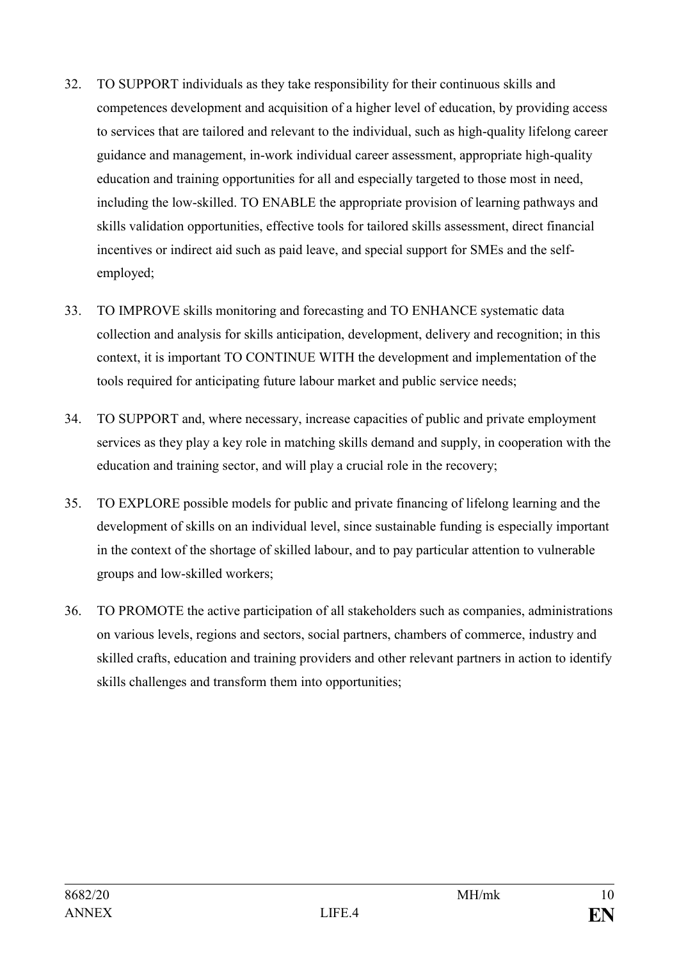- 32. TO SUPPORT individuals as they take responsibility for their continuous skills and competences development and acquisition of a higher level of education, by providing access to services that are tailored and relevant to the individual, such as high-quality lifelong career guidance and management, in-work individual career assessment, appropriate high-quality education and training opportunities for all and especially targeted to those most in need, including the low-skilled. TO ENABLE the appropriate provision of learning pathways and skills validation opportunities, effective tools for tailored skills assessment, direct financial incentives or indirect aid such as paid leave, and special support for SMEs and the selfemployed;
- 33. TO IMPROVE skills monitoring and forecasting and TO ENHANCE systematic data collection and analysis for skills anticipation, development, delivery and recognition; in this context, it is important TO CONTINUE WITH the development and implementation of the tools required for anticipating future labour market and public service needs;
- 34. TO SUPPORT and, where necessary, increase capacities of public and private employment services as they play a key role in matching skills demand and supply, in cooperation with the education and training sector, and will play a crucial role in the recovery;
- 35. TO EXPLORE possible models for public and private financing of lifelong learning and the development of skills on an individual level, since sustainable funding is especially important in the context of the shortage of skilled labour, and to pay particular attention to vulnerable groups and low-skilled workers;
- 36. TO PROMOTE the active participation of all stakeholders such as companies, administrations on various levels, regions and sectors, social partners, chambers of commerce, industry and skilled crafts, education and training providers and other relevant partners in action to identify skills challenges and transform them into opportunities;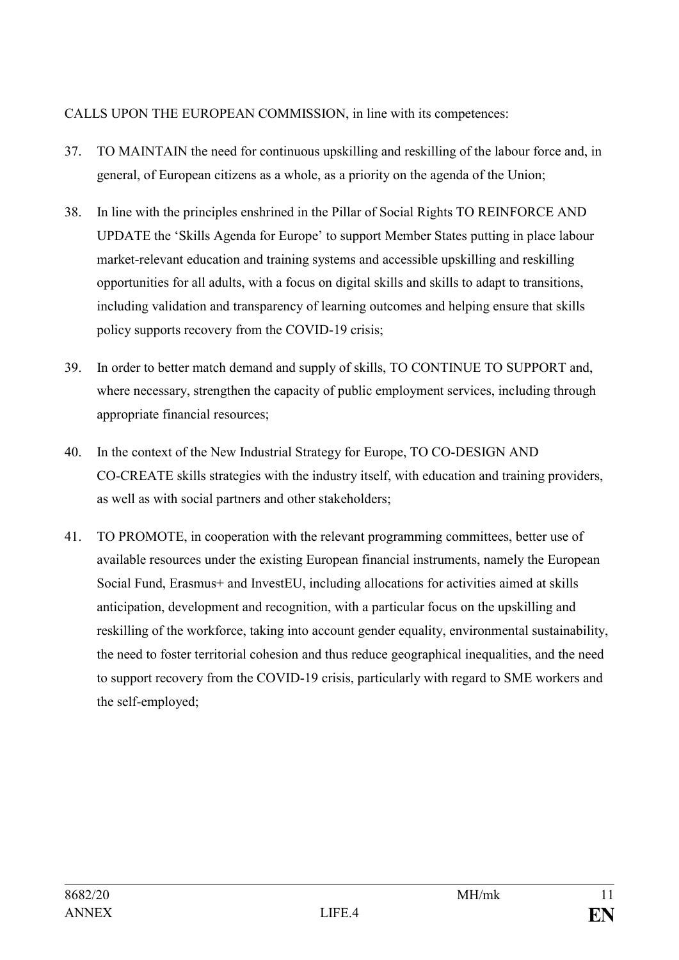# CALLS UPON THE EUROPEAN COMMISSION, in line with its competences:

- 37. TO MAINTAIN the need for continuous upskilling and reskilling of the labour force and, in general, of European citizens as a whole, as a priority on the agenda of the Union;
- 38. In line with the principles enshrined in the Pillar of Social Rights TO REINFORCE AND UPDATE the 'Skills Agenda for Europe' to support Member States putting in place labour market-relevant education and training systems and accessible upskilling and reskilling opportunities for all adults, with a focus on digital skills and skills to adapt to transitions, including validation and transparency of learning outcomes and helping ensure that skills policy supports recovery from the COVID-19 crisis;
- 39. In order to better match demand and supply of skills, TO CONTINUE TO SUPPORT and, where necessary, strengthen the capacity of public employment services, including through appropriate financial resources;
- 40. In the context of the New Industrial Strategy for Europe, TO CO-DESIGN AND CO-CREATE skills strategies with the industry itself, with education and training providers, as well as with social partners and other stakeholders;
- 41. TO PROMOTE, in cooperation with the relevant programming committees, better use of available resources under the existing European financial instruments, namely the European Social Fund, Erasmus+ and InvestEU, including allocations for activities aimed at skills anticipation, development and recognition, with a particular focus on the upskilling and reskilling of the workforce, taking into account gender equality, environmental sustainability, the need to foster territorial cohesion and thus reduce geographical inequalities, and the need to support recovery from the COVID-19 crisis, particularly with regard to SME workers and the self-employed;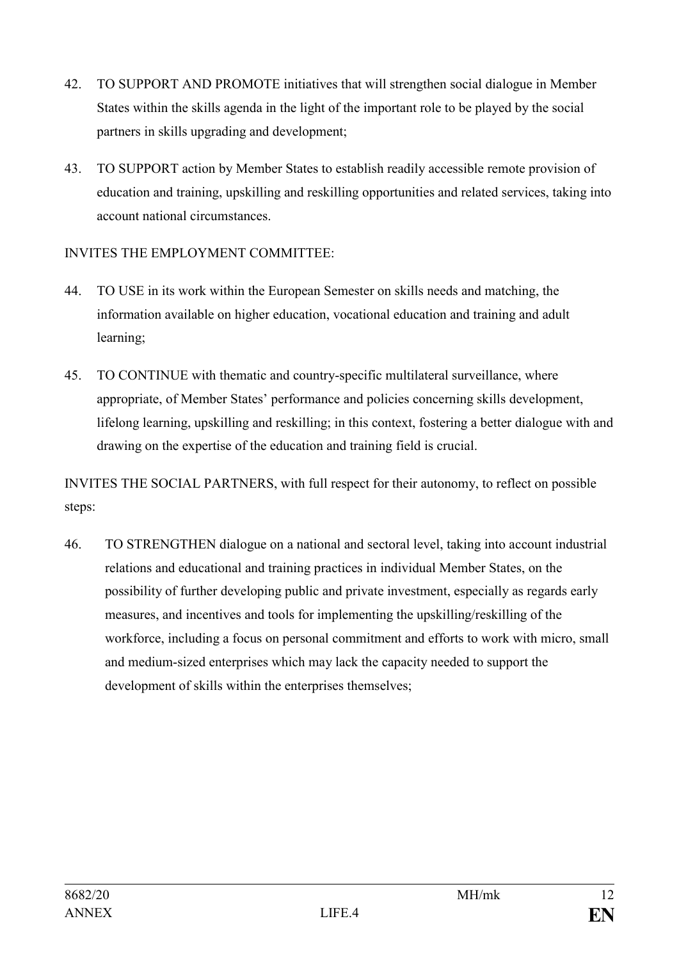- 42. TO SUPPORT AND PROMOTE initiatives that will strengthen social dialogue in Member States within the skills agenda in the light of the important role to be played by the social partners in skills upgrading and development;
- 43. TO SUPPORT action by Member States to establish readily accessible remote provision of education and training, upskilling and reskilling opportunities and related services, taking into account national circumstances.

# INVITES THE EMPLOYMENT COMMITTEE:

- 44. TO USE in its work within the European Semester on skills needs and matching, the information available on higher education, vocational education and training and adult learning;
- 45. TO CONTINUE with thematic and country-specific multilateral surveillance, where appropriate, of Member States' performance and policies concerning skills development, lifelong learning, upskilling and reskilling; in this context, fostering a better dialogue with and drawing on the expertise of the education and training field is crucial.

INVITES THE SOCIAL PARTNERS, with full respect for their autonomy, to reflect on possible steps:

46. TO STRENGTHEN dialogue on a national and sectoral level, taking into account industrial relations and educational and training practices in individual Member States, on the possibility of further developing public and private investment, especially as regards early measures, and incentives and tools for implementing the upskilling/reskilling of the workforce, including a focus on personal commitment and efforts to work with micro, small and medium-sized enterprises which may lack the capacity needed to support the development of skills within the enterprises themselves;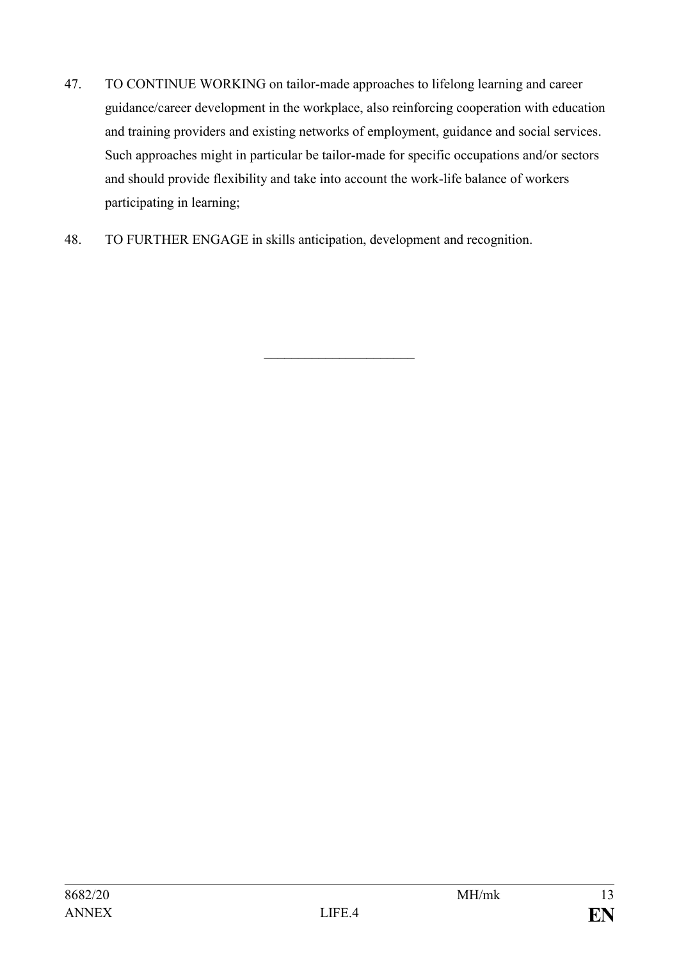47. TO CONTINUE WORKING on tailor-made approaches to lifelong learning and career guidance/career development in the workplace, also reinforcing cooperation with education and training providers and existing networks of employment, guidance and social services. Such approaches might in particular be tailor-made for specific occupations and/or sectors and should provide flexibility and take into account the work-life balance of workers participating in learning;

 $\overline{\phantom{a}}$  , which is a set of the set of the set of the set of the set of the set of the set of the set of the set of the set of the set of the set of the set of the set of the set of the set of the set of the set of th

48. TO FURTHER ENGAGE in skills anticipation, development and recognition.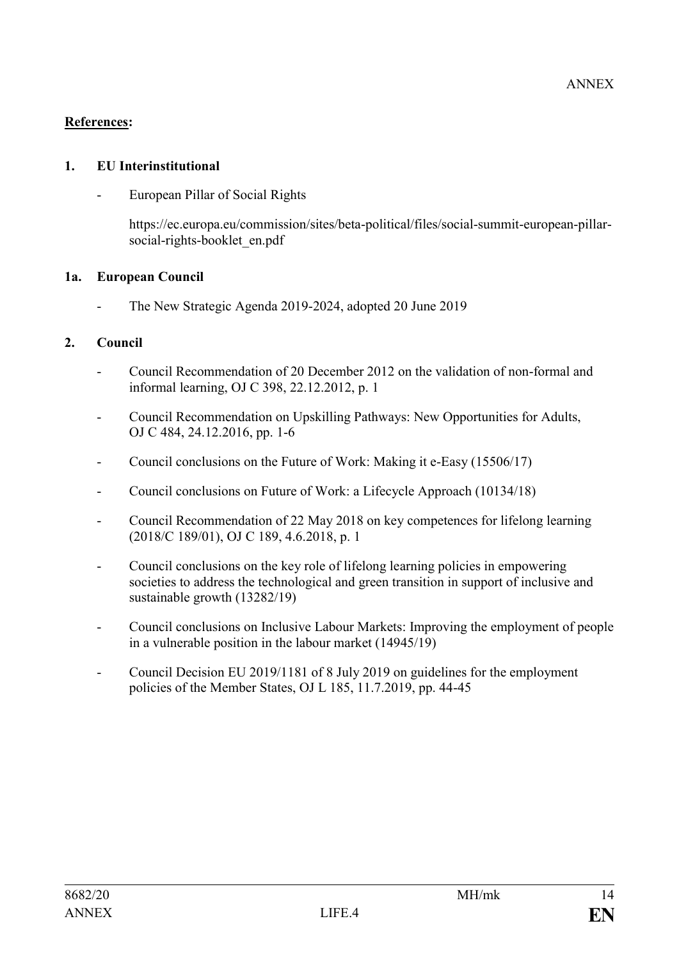## **References:**

#### **1. EU Interinstitutional**

- European Pillar of Social Rights

https://ec.europa.eu/commission/sites/beta-political/files/social-summit-european-pillarsocial-rights-booklet\_en.pdf

## **1a. European Council**

The New Strategic Agenda 2019-2024, adopted 20 June 2019

## **2. Council**

- Council Recommendation of 20 December 2012 on the validation of non-formal and informal learning, OJ C 398, 22.12.2012, p. 1
- Council Recommendation on Upskilling Pathways: New Opportunities for Adults, OJ C 484, 24.12.2016, pp. 1-6
- Council conclusions on the Future of Work: Making it e-Easy (15506/17)
- Council conclusions on Future of Work: a Lifecycle Approach (10134/18)
- Council Recommendation of 22 May 2018 on key competences for lifelong learning (2018/C 189/01), OJ C 189, 4.6.2018, p. 1
- Council conclusions on the key role of lifelong learning policies in empowering societies to address the technological and green transition in support of inclusive and sustainable growth (13282/19)
- Council conclusions on Inclusive Labour Markets: Improving the employment of people in a vulnerable position in the labour market (14945/19)
- Council Decision EU 2019/1181 of 8 July 2019 on guidelines for the employment policies of the Member States, OJ L 185, 11.7.2019, pp. 44-45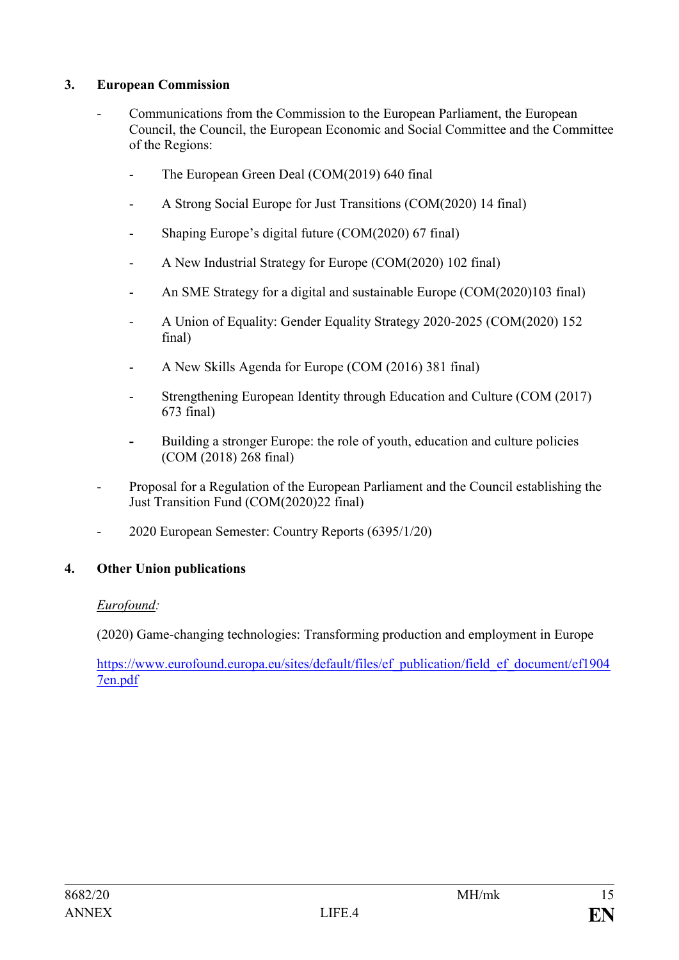## **3. European Commission**

- Communications from the Commission to the European Parliament, the European Council, the Council, the European Economic and Social Committee and the Committee of the Regions:
	- The European Green Deal (COM(2019) 640 final
	- A Strong Social Europe for Just Transitions (COM(2020) 14 final)
	- Shaping Europe's digital future (COM(2020) 67 final)
	- A New Industrial Strategy for Europe (COM(2020) 102 final)
	- An SME Strategy for a digital and sustainable Europe (COM(2020)103 final)
	- A Union of Equality: Gender Equality Strategy 2020-2025 (COM(2020) 152 final)
	- A New Skills Agenda for Europe (COM (2016) 381 final)
	- Strengthening European Identity through Education and Culture (COM (2017) 673 final)
	- **-** Building a stronger Europe: the role of youth, education and culture policies (COM (2018) 268 final)
- Proposal for a Regulation of the European Parliament and the Council establishing the Just Transition Fund (COM(2020)22 final)
- 2020 European Semester: Country Reports (6395/1/20)

#### **4. Other Union publications**

#### *Eurofound:*

(2020) Game-changing technologies: Transforming production and employment in Europe

[https://www.eurofound.europa.eu/sites/default/files/ef\\_publication/field\\_ef\\_document/ef1904](https://www.eurofound.europa.eu/sites/default/files/ef_publication/field_ef_document/ef19047en.pdf) [7en.pdf](https://www.eurofound.europa.eu/sites/default/files/ef_publication/field_ef_document/ef19047en.pdf)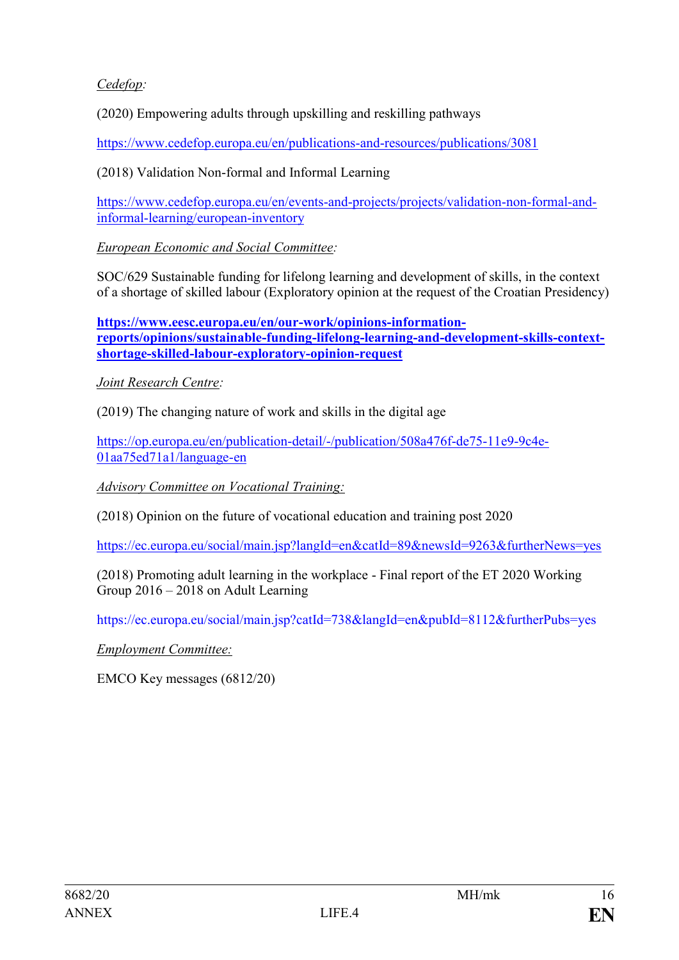# *Cedefop:*

(2020) Empowering adults through upskilling and reskilling pathways

<https://www.cedefop.europa.eu/en/publications-and-resources/publications/3081>

(2018) Validation Non-formal and Informal Learning

[https://www.cedefop.europa.eu/en/events-and-projects/projects/validation-non-formal-and](https://www.cedefop.europa.eu/en/events-and-projects/projects/validation-non-formal-and-informal-learning/european-inventory)[informal-learning/european-inventory](https://www.cedefop.europa.eu/en/events-and-projects/projects/validation-non-formal-and-informal-learning/european-inventory)

*European Economic and Social Committee:*

SOC/629 Sustainable funding for lifelong learning and development of skills, in the context of a shortage of skilled labour (Exploratory opinion at the request of the Croatian Presidency)

**[https://www.eesc.europa.eu/en/our-work/opinions-information](https://www.eesc.europa.eu/en/our-work/opinions-information-reports/opinions/sustainable-funding-lifelong-learning-and-development-skills-context-shortage-skilled-labour-exploratory-opinion-request)[reports/opinions/sustainable-funding-lifelong-learning-and-development-skills-context](https://www.eesc.europa.eu/en/our-work/opinions-information-reports/opinions/sustainable-funding-lifelong-learning-and-development-skills-context-shortage-skilled-labour-exploratory-opinion-request)[shortage-skilled-labour-exploratory-opinion-request](https://www.eesc.europa.eu/en/our-work/opinions-information-reports/opinions/sustainable-funding-lifelong-learning-and-development-skills-context-shortage-skilled-labour-exploratory-opinion-request)**

*Joint Research Centre:*

(2019) The changing nature of work and skills in the digital age

[https://op.europa.eu/en/publication-detail/-/publication/508a476f-de75-11e9-9c4e-](https://op.europa.eu/en/publication-detail/-/publication/508a476f-de75-11e9-9c4e-01aa75ed71a1/language-en)[01aa75ed71a1/language-en](https://op.europa.eu/en/publication-detail/-/publication/508a476f-de75-11e9-9c4e-01aa75ed71a1/language-en)

*Advisory Committee on Vocational Training:*

(2018) Opinion on the future of vocational education and training post 2020

<https://ec.europa.eu/social/main.jsp?langId=en&catId=89&newsId=9263&furtherNews=yes>

(2018) Promoting adult learning in the workplace - Final report of the ET 2020 Working Group 2016 – 2018 on Adult Learning

https://ec.europa.eu/social/main.jsp?catId=738&langId=en&pubId=8112&furtherPubs=yes

*Employment Committee:*

EMCO Key messages (6812/20)